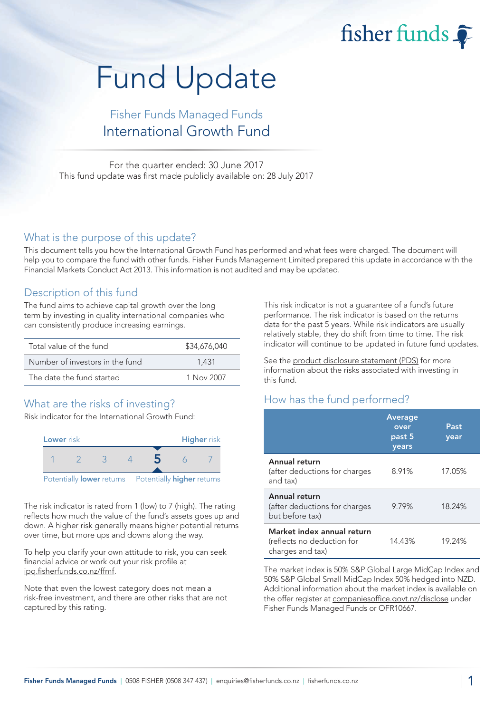fisher funds

# Fund Update

# Fisher Funds Managed Funds International Growth Fund

For the quarter ended: 30 June 2017 This fund update was first made publicly available on: 28 July 2017

#### What is the purpose of this update?

This document tells you how the International Growth Fund has performed and what fees were charged. The document will help you to compare the fund with other funds. Fisher Funds Management Limited prepared this update in accordance with the Financial Markets Conduct Act 2013. This information is not audited and may be updated.

## Description of this fund

The fund aims to achieve capital growth over the long term by investing in quality international companies who can consistently produce increasing earnings.

| Total value of the fund         | \$34,676,040 |
|---------------------------------|--------------|
| Number of investors in the fund | 1.431        |
| The date the fund started       | 1 Nov 2007   |

## What are the risks of investing?

Risk indicator for the International Growth Fund:



The risk indicator is rated from 1 (low) to 7 (high). The rating reflects how much the value of the fund's assets goes up and down. A higher risk generally means higher potential returns over time, but more ups and downs along the way.

To help you clarify your own attitude to risk, you can seek financial advice or work out your risk profile at [ipq.fisherfunds.co.nz/ffmf.](https://ipq.fisherfunds.co.nz/ffmf)

Note that even the lowest category does not mean a risk-free investment, and there are other risks that are not captured by this rating.

This risk indicator is not a guarantee of a fund's future performance. The risk indicator is based on the returns data for the past 5 years. While risk indicators are usually relatively stable, they do shift from time to time. The risk indicator will continue to be updated in future fund updates.

See the [product disclosure statement \(PDS\)](https://fisherfunds.co.nz/assets/PDS/Fisher-Funds-Managed-Funds-PDS.pdf) for more information about the risks associated with investing in this fund.

## How has the fund performed?

|                                                                              | <b>Average</b><br>over<br>past 5<br>years | Past<br>year |
|------------------------------------------------------------------------------|-------------------------------------------|--------------|
| Annual return<br>(after deductions for charges<br>and tax)                   | 8.91%                                     | 17.05%       |
| Annual return<br>(after deductions for charges<br>but before tax)            | 9.79%                                     | 18.24%       |
| Market index annual return<br>(reflects no deduction for<br>charges and tax) | 14.43%                                    | 19.24%       |

The market index is 50% S&P Global Large MidCap Index and 50% S&P Global Small MidCap Index 50% hedged into NZD. Additional information about the market index is available on the offer register at [companiesoffice.govt.nz/disclose](http://companiesoffice.govt.nz/disclose) under Fisher Funds Managed Funds or OFR10667.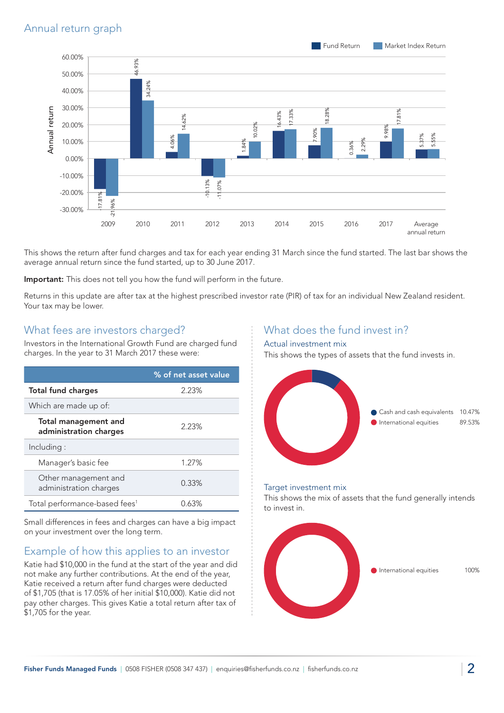

This shows the return after fund charges and tax for each year ending 31 March since the fund started. The last bar shows the average annual return since the fund started, up to 30 June 2017.

Important: This does not tell you how the fund will perform in the future.

Returns in this update are after tax at the highest prescribed investor rate (PIR) of tax for an individual New Zealand resident. Your tax may be lower.

#### What fees are investors charged?

Investors in the International Growth Fund are charged fund charges. In the year to 31 March 2017 these were:

|                                                       | % of net asset value |
|-------------------------------------------------------|----------------------|
| <b>Total fund charges</b>                             | 2.23%                |
| Which are made up of:                                 |                      |
| <b>Total management and</b><br>administration charges | 2.23%                |
| Including:                                            |                      |
| Manager's basic fee                                   | 1.27%                |
| Other management and<br>administration charges        | 0.33%                |
| Total performance-based fees <sup>1</sup>             | 0.63%                |

Small differences in fees and charges can have a big impact on your investment over the long term.

## Example of how this applies to an investor

Katie had \$10,000 in the fund at the start of the year and did not make any further contributions. At the end of the year, Katie received a return after fund charges were deducted of \$1,705 (that is 17.05% of her initial \$10,000). Katie did not pay other charges. This gives Katie a total return after tax of \$1,705 for the year.

### What does the fund invest in?

#### Actual investment mix

This shows the types of assets that the fund invests in.



#### Target investment mix

This shows the mix of assets that the fund generally intends to invest in.